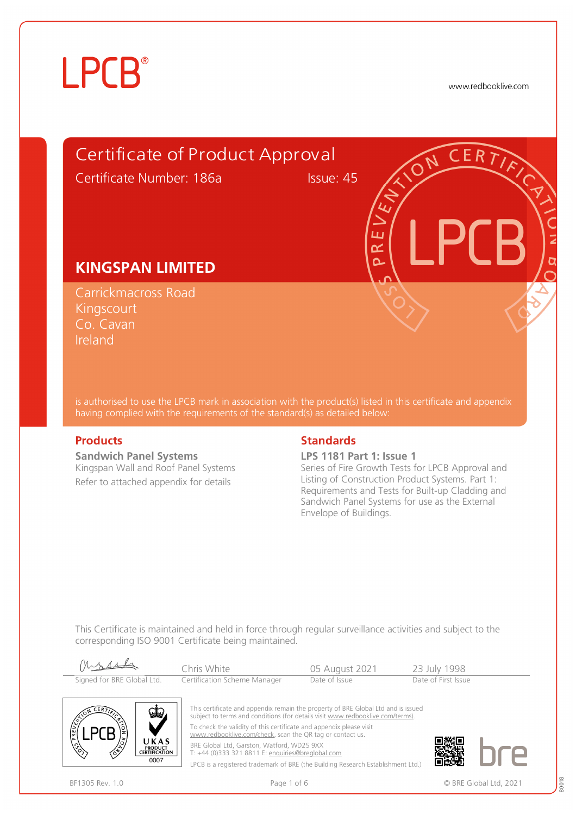www.redbooklive.com



is authorised to use the LPCB mark in association with the product(s) listed in this certificate and appendix having complied with the requirements of the standard(s) as detailed below:

**Sandwich Panel Systems**  Kingspan Wall and Roof Panel Systems Refer to attached appendix for details

#### **Products** Standards **Standards**

**LPS 1181 Part 1: Issue 1**

Series of Fire Growth Tests for LPCB Approval and Listing of Construction Product Systems. Part 1: Requirements and Tests for Built-up Cladding and Sandwich Panel Systems for use as the External Envelope of Buildings.

This Certificate is maintained and held in force through regular surveillance activities and subject to the corresponding ISO 9001 Certificate being maintained.

| Mossel                     | Chris White                  | 05 August 2021 | 23 July 1998        |
|----------------------------|------------------------------|----------------|---------------------|
| Signed for BRE Global Ltd. | Certification Scheme Manager | Date of Issue  | Date of First Issue |



This certificate and appendix remain the property of BRE Global Ltd and is issued subject to terms and conditions (for details visit [www.redbooklive.com/terms\).](http://www.redbooklive.com/terms)) To check the validity of this certificate and appendix please visit [www.redbooklive.com/check](http://www.redbooklive.com/check), scan the QR tag or contact us. BRE Global Ltd, Garston, Watford, WD25 9XX T: +44 (0)333 321 8811 E: [enquiries@breglobal.com](mailto:enquiries@breglobal.com)

LPCB is a registered trademark of BRE (the Building Research Establishment Ltd.)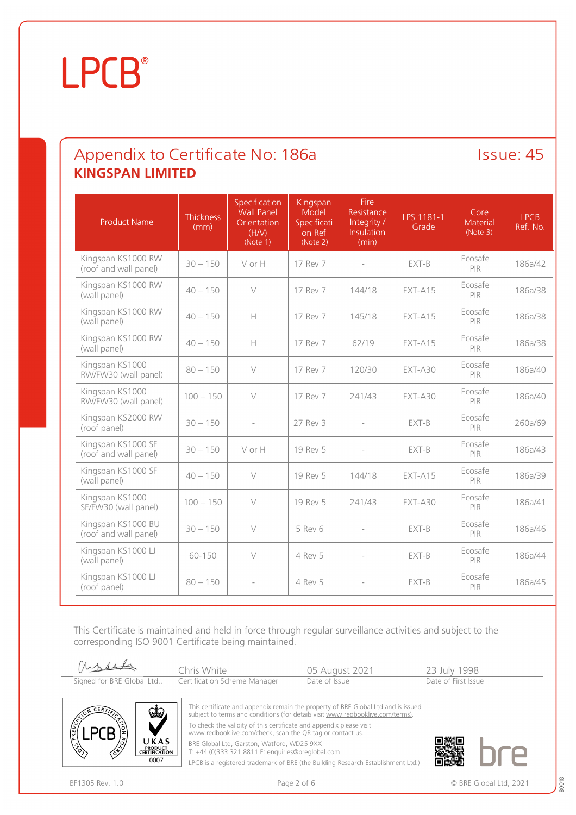### Appendix to Certificate No: 186a Issue: 45 **KINGSPAN LIMITED**

| <b>Product Name</b>                         | <b>Thickness</b><br>(mm) | Specification<br><b>Wall Panel</b><br><b>Orientation</b><br>(H/V)<br>(Note 1) | Kingspan<br>Model<br>Specificati<br>on Ref<br>(Note 2) | Fire<br>Resistance<br>Integrity /<br><b>Insulation</b><br>(min) | LPS 1181-1<br>Grade | Core<br><b>Material</b><br>(Note 3) | <b>LPCB</b><br>Ref. No. |
|---------------------------------------------|--------------------------|-------------------------------------------------------------------------------|--------------------------------------------------------|-----------------------------------------------------------------|---------------------|-------------------------------------|-------------------------|
| Kingspan KS1000 RW<br>(roof and wall panel) | $30 - 150$               | V or H                                                                        | 17 Rev 7                                               |                                                                 | EXT-B               | Ecosafe<br>PIR                      | 186a/42                 |
| Kingspan KS1000 RW<br>(wall panel)          | $40 - 150$               | $\vee$                                                                        | 17 Rev 7                                               | 144/18                                                          | $EXT-415$           | Ecosafe<br>PIR                      | 186a/38                 |
| Kingspan KS1000 RW<br>(wall panel)          | $40 - 150$               | Н                                                                             | 17 Rev 7                                               | 145/18                                                          | $EXT-415$           | Ecosafe<br><b>PIR</b>               | 186a/38                 |
| Kingspan KS1000 RW<br>(wall panel)          | $40 - 150$               | Н                                                                             | 17 Rev 7                                               | 62/19                                                           | $EXT-A15$           | Ecosafe<br>PIR                      | 186a/38                 |
| Kingspan KS1000<br>RW/FW30 (wall panel)     | $80 - 150$               | $\vee$                                                                        | 17 Rev 7                                               | 120/30                                                          | $EXT-A30$           | Ecosafe<br>PIR                      | 186a/40                 |
| Kingspan KS1000<br>RW/FW30 (wall panel)     | $100 - 150$              | $\vee$                                                                        | 17 Rev 7                                               | 241/43                                                          | $EXT-A30$           | Ecosafe<br>PIR                      | 186a/40                 |
| Kingspan KS2000 RW<br>(roof panel)          | $30 - 150$               |                                                                               | 27 Rev 3                                               |                                                                 | EXT-B               | Ecosafe<br><b>PIR</b>               | 260a/69                 |
| Kingspan KS1000 SF<br>(roof and wall panel) | $30 - 150$               | VorH                                                                          | 19 Rev 5                                               |                                                                 | EXT-B               | Ecosafe<br>PIR                      | 186a/43                 |
| Kingspan KS1000 SF<br>(wall panel)          | $40 - 150$               | $\vee$                                                                        | 19 Rev 5                                               | 144/18                                                          | EXT-A15             | Ecosafe<br>PIR                      | 186a/39                 |
| Kingspan KS1000<br>SF/FW30 (wall panel)     | $100 - 150$              | $\vee$                                                                        | 19 Rev 5                                               | 241/43                                                          | $EXT-A30$           | Ecosafe<br><b>PIR</b>               | 186a/41                 |
| Kingspan KS1000 BU<br>(roof and wall panel) | $30 - 150$               | $\vee$                                                                        | 5 Rev 6                                                | $\overline{a}$                                                  | EXT-B               | Ecosafe<br>PIR                      | 186a/46                 |
| Kingspan KS1000 LJ<br>(wall panel)          | 60-150                   | $\vee$                                                                        | 4 Rev 5                                                | $\overline{a}$                                                  | EXT-B               | Ecosafe<br>PIR                      | 186a/44                 |
| Kingspan KS1000 LJ<br>(roof panel)          | $80 - 150$               |                                                                               | 4 Rev 5                                                |                                                                 | EXT-B               | Ecosafe<br>PIR                      | 186a/45                 |

This Certificate is maintained and held in force through regular surveillance activities and subject to the corresponding ISO 9001 Certificate being maintained.

Mossel Chris White 205 August 2021 23 July 1998<br>
Certification Scheme Manager Date of Issue Date of First Issue Signed for BRE Global Ltd.. Certification Scheme Manager



This certificate and appendix remain the property of BRE Global Ltd and is issued subject to terms and conditions (for details visit [www.redbooklive.com/terms\)](http://www.redbooklive.com/terms)). To check the validity of this certificate and appendix please visit

[www.redbooklive.com/check,](http://www.redbooklive.com/check) scan the QR tag or contact us.

BRE Global Ltd, Garston, Watford, WD25 9XX

T: +44 (0)333 321 8811 E: [enquiries@breglobal.com](mailto:enquiries@breglobal.com)

LPCB is a registered trademark of BRE (the Building Research Establishment Ltd.)

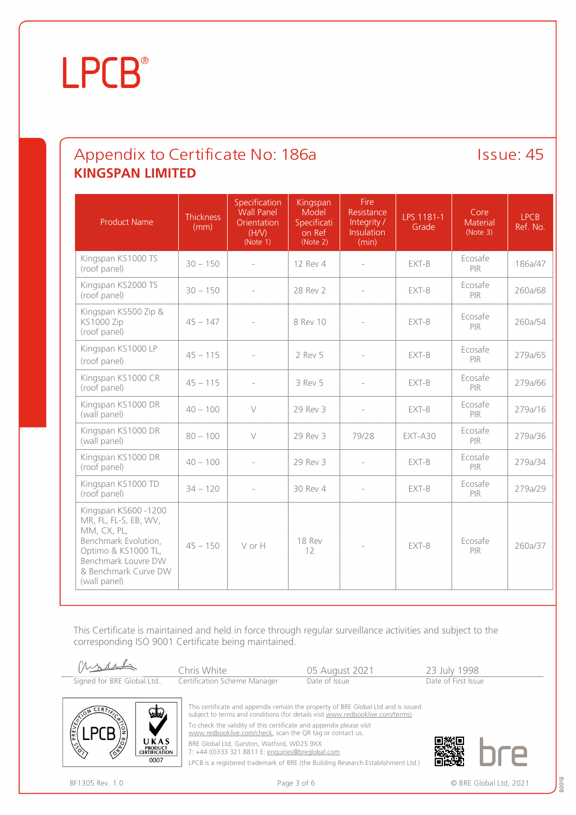### Appendix to Certificate No: 186a Issue: 45 **KINGSPAN LIMITED**

| <b>Product Name</b>                                                                                                                                                        | <b>Thickness</b><br>(mm) | Specification<br><b>Wall Panel</b><br>Orientation<br>(H/V)<br>(Note 1) | Kingspan<br>Model<br>Specificati<br>on Ref<br>(Note 2) | Fire<br>Resistance<br>Integrity /<br><b>Insulation</b><br>(min) | LPS 1181-1<br>Grade | Core<br>Material<br>(Note 3) | <b>LPCB</b><br>Ref. No. |
|----------------------------------------------------------------------------------------------------------------------------------------------------------------------------|--------------------------|------------------------------------------------------------------------|--------------------------------------------------------|-----------------------------------------------------------------|---------------------|------------------------------|-------------------------|
| Kingspan KS1000 TS<br>(roof panel)                                                                                                                                         | $30 - 150$               |                                                                        | 12 Rev 4                                               |                                                                 | EXT-B               | Ecosafe<br>PIR               | 186a/47                 |
| Kingspan KS2000 TS<br>(roof panel)                                                                                                                                         | $30 - 150$               |                                                                        | 28 Rev 2                                               |                                                                 | EXT-B               | Ecosafe<br>PIR               | 260a/68                 |
| Kingspan KS500 Zip &<br><b>KS1000 Zip</b><br>(roof panel)                                                                                                                  | $45 - 147$               |                                                                        | 8 Rev 10                                               |                                                                 | EXT-B               | Ecosafe<br><b>PIR</b>        | 260a/54                 |
| Kingspan KS1000 LP<br>(roof panel)                                                                                                                                         | $45 - 115$               |                                                                        | 2 Rev 5                                                |                                                                 | EXT-B               | Ecosafe<br>PIR               | 279a/65                 |
| Kingspan KS1000 CR<br>(roof panel)                                                                                                                                         | $45 - 115$               |                                                                        | 3 Rev 5                                                |                                                                 | EXT-B               | Ecosafe<br><b>PIR</b>        | 279a/66                 |
| Kingspan KS1000 DR<br>(wall panel)                                                                                                                                         | $40 - 100$               | $\vee$                                                                 | 29 Rev 3                                               | $\overline{a}$                                                  | EXT-B               | Ecosafe<br><b>PIR</b>        | 279a/16                 |
| Kingspan KS1000 DR<br>(wall panel)                                                                                                                                         | $80 - 100$               | $\vee$                                                                 | 29 Rev 3                                               | 79/28                                                           | $EXT-ASO$           | Ecosafe<br><b>PIR</b>        | 279a/36                 |
| Kingspan KS1000 DR<br>(roof panel)                                                                                                                                         | $40 - 100$               |                                                                        | 29 Rev 3                                               | $\overline{\phantom{a}}$                                        | EXT-B               | Ecosafe<br><b>PIR</b>        | 279a/34                 |
| Kingspan KS1000 TD<br>(roof panel)                                                                                                                                         | $34 - 120$               |                                                                        | 30 Rev 4                                               |                                                                 | EXT-B               | Ecosafe<br>PIR               | 279a/29                 |
| Kingspan KS600 -1200<br>MR, FL, FL-S, EB, WV,<br>MM, CX, PL,<br>Benchmark Evolution,<br>Optimo & KS1000 TL,<br>Benchmark Louvre DW<br>& Benchmark Curve DW<br>(wall panel) | $45 - 150$               | VorH                                                                   | 18 Rev<br>12                                           |                                                                 | EXT-B               | Ecosafe<br><b>PIR</b>        | 260a/37                 |

This Certificate is maintained and held in force through regular surveillance activities and subject to the corresponding ISO 9001 Certificate being maintained.





This certificate and appendix remain the property of BRE Global Ltd and is issued subject to terms and conditions (for details visit [www.redbooklive.com/terms\)](http://www.redbooklive.com/terms)). To check the validity of this certificate and appendix please visit

[www.redbooklive.com/check,](http://www.redbooklive.com/check) scan the QR tag or contact us.

BRE Global Ltd, Garston, Watford, WD25 9XX

T: +44 (0)333 321 8811 E: [enquiries@breglobal.com](mailto:enquiries@breglobal.com)

LPCB is a registered trademark of BRE (the Building Research Establishment Ltd.)

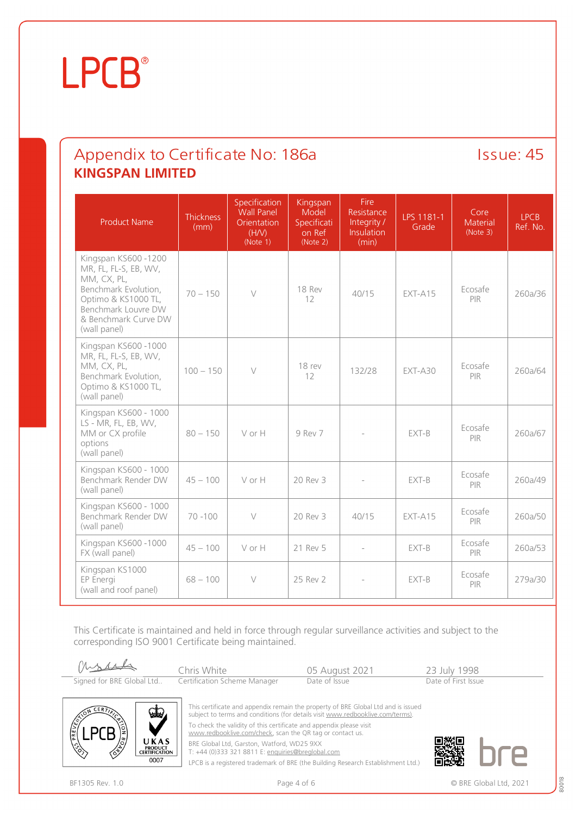#### Appendix to Certificate No: 186a Issue: 45 **KINGSPAN LIMITED**

| <b>Product Name</b>                                                                                                                                                       | <b>Thickness</b><br>(mm) | Specification<br><b>Wall Panel</b><br>Orientation<br>(H/V)<br>(Note 1) | Kingspan<br>Model<br>Specificati<br>on Ref<br>(Note 2) | Fire<br>Resistance<br>Integrity /<br>Insulation<br>(min) | LPS 1181-1<br>Grade | Core<br><b>Material</b><br>(Note 3) | <b>LPCB</b><br>Ref. No. |
|---------------------------------------------------------------------------------------------------------------------------------------------------------------------------|--------------------------|------------------------------------------------------------------------|--------------------------------------------------------|----------------------------------------------------------|---------------------|-------------------------------------|-------------------------|
| Kingspan KS600-1200<br>MR, FL, FL-S, EB, WV,<br>MM, CX, PL,<br>Benchmark Evolution,<br>Optimo & KS1000 TL,<br>Benchmark Louvre DW<br>& Benchmark Curve DW<br>(wall panel) | $70 - 150$               | $\vee$                                                                 | 18 Rev<br>12                                           | 40/15                                                    | $FXT-A15$           | Ecosafe<br><b>PIR</b>               | 260a/36                 |
| Kingspan KS600 -1000<br>MR, FL, FL-S, EB, WV,<br>MM, CX, PL,<br>Benchmark Evolution,<br>Optimo & KS1000 TL,<br>(wall panel)                                               | $100 - 150$              | $\vee$                                                                 | 18 rev<br>12                                           | 132/28                                                   | $EXT-A30$           | Ecosafe<br><b>PIR</b>               | 260a/64                 |
| Kingspan KS600 - 1000<br>LS - MR, FL, EB, WV,<br>MM or CX profile<br>options<br>(wall panel)                                                                              | $80 - 150$               | VorH                                                                   | 9 Rev 7                                                |                                                          | EXT-B               | Ecosafe<br>PIR                      | 260a/67                 |
| Kingspan KS600 - 1000<br>Benchmark Render DW<br>(wall panel)                                                                                                              | $45 - 100$               | V or H                                                                 | 20 Rev 3                                               |                                                          | EXT-B               | Ecosafe<br>PIR                      | 260a/49                 |
| Kingspan KS600 - 1000<br>Benchmark Render DW<br>(wall panel)                                                                                                              | $70 - 100$               | $\vee$                                                                 | 20 Rev 3                                               | 40/15                                                    | $EXT-415$           | Ecosafe<br><b>PIR</b>               | 260a/50                 |
| Kingspan KS600-1000<br>FX (wall panel)                                                                                                                                    | $45 - 100$               | V or H                                                                 | 21 Rev 5                                               |                                                          | EXT-B               | Ecosafe<br><b>PIR</b>               | 260a/53                 |
| Kingspan KS1000<br>EP Energi<br>(wall and roof panel)                                                                                                                     | $68 - 100$               | $\vee$                                                                 | 25 Rev 2                                               |                                                          | EXT-B               | Ecosafe<br>PIR                      | 279a/30                 |

This Certificate is maintained and held in force through regular surveillance activities and subject to the corresponding ISO 9001 Certificate being maintained.





This certificate and appendix remain the property of BRE Global Ltd and is issued subject to terms and conditions (for details visit [www.redbooklive.com/terms\)](http://www.redbooklive.com/terms)). To check the validity of this certificate and appendix please visit

[www.redbooklive.com/check,](http://www.redbooklive.com/check) scan the QR tag or contact us.

BRE Global Ltd, Garston, Watford, WD25 9XX

T: +44 (0)333 321 8811 E: [enquiries@breglobal.com](mailto:enquiries@breglobal.com)

LPCB is a registered trademark of BRE (the Building Research Establishment Ltd.)



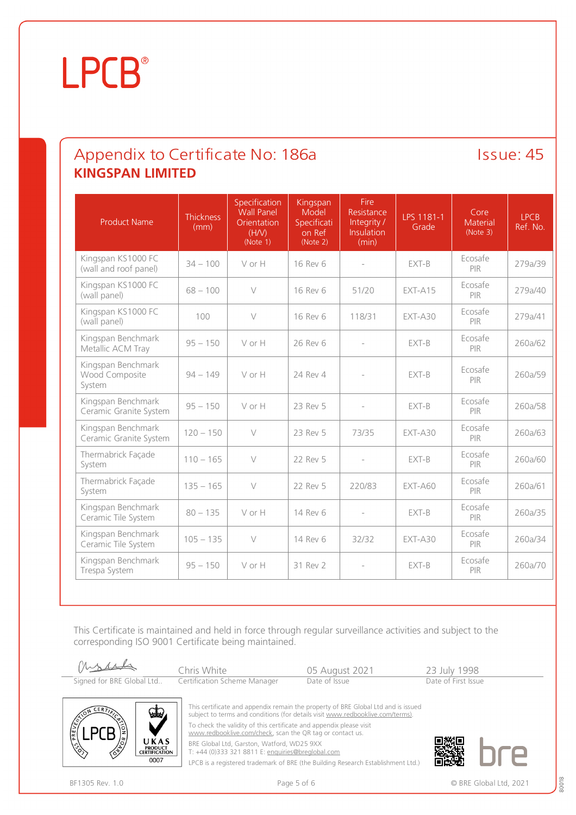### Appendix to Certificate No: 186a Issue: 45 **KINGSPAN LIMITED**

| <b>Product Name</b>                            | <b>Thickness</b><br>(mm) | Specification<br><b>Wall Panel</b><br>Orientation<br>(H/N)<br>(Note 1) | Kingspan<br>Model<br>Specificati<br>on Ref<br>(Note 2) | Fire<br>Resistance<br>Integrity /<br><b>Insulation</b><br>(min) | LPS 1181-1<br>Grade | Core<br>Material<br>(Note 3) | <b>LPCB</b><br>Ref. No. |
|------------------------------------------------|--------------------------|------------------------------------------------------------------------|--------------------------------------------------------|-----------------------------------------------------------------|---------------------|------------------------------|-------------------------|
| Kingspan KS1000 FC<br>(wall and roof panel)    | $34 - 100$               | V or H                                                                 | 16 Rev 6                                               | ÷,                                                              | EXT-B               | Ecosafe<br>PIR               | 279a/39                 |
| Kingspan KS1000 FC<br>(wall panel)             | $68 - 100$               | $\vee$                                                                 | 16 Rev 6                                               | 51/20                                                           | EXT-A15             | Ecosafe<br>PIR               | 279a/40                 |
| Kingspan KS1000 FC<br>(wall panel)             | 100                      | $\vee$                                                                 | 16 Rev 6                                               | 118/31                                                          | $EXT-ASO$           | Ecosafe<br><b>PIR</b>        | 279a/41                 |
| Kingspan Benchmark<br>Metallic ACM Tray        | $95 - 150$               | V or H                                                                 | 26 Rev 6                                               | $\overline{\phantom{a}}$                                        | EXT-B               | Ecosafe<br><b>PIR</b>        | 260a/62                 |
| Kingspan Benchmark<br>Wood Composite<br>System | $94 - 149$               | V or H                                                                 | 24 Rev 4                                               |                                                                 | EXT-B               | Ecosafe<br><b>PIR</b>        | 260a/59                 |
| Kingspan Benchmark<br>Ceramic Granite System   | $95 - 150$               | V or H                                                                 | 23 Rev 5                                               | $\overline{\phantom{a}}$                                        | EXT-B               | Ecosafe<br>PIR               | 260a/58                 |
| Kingspan Benchmark<br>Ceramic Granite System   | $120 - 150$              | $\vee$                                                                 | 23 Rev 5                                               | 73/35                                                           | $EXT-ASO$           | Ecosafe<br>PIR               | 260a/63                 |
| Thermabrick Façade<br>System                   | $110 - 165$              | $\vee$                                                                 | 22 Rev 5                                               | $\overline{a}$                                                  | EXT-B               | Ecosafe<br><b>PIR</b>        | 260a/60                 |
| Thermabrick Façade<br>System                   | $135 - 165$              | $\vee$                                                                 | 22 Rev 5                                               | 220/83                                                          | $EXT-AGO$           | Ecosafe<br>PIR               | 260a/61                 |
| Kingspan Benchmark<br>Ceramic Tile System      | $80 - 135$               | V or H                                                                 | 14 Rev 6                                               |                                                                 | EXT-B               | Ecosafe<br>PIR               | 260a/35                 |
| Kingspan Benchmark<br>Ceramic Tile System      | $105 - 135$              | $\vee$                                                                 | 14 Rev 6                                               | 32/32                                                           | $EXT-ASO$           | Ecosafe<br><b>PIR</b>        | 260a/34                 |
| Kingspan Benchmark<br>Trespa System            | $95 - 150$               | V or H                                                                 | 31 Rev 2                                               | $\overline{\phantom{a}}$                                        | EXT-B               | Ecosafe<br><b>PIR</b>        | 260a/70                 |

This Certificate is maintained and held in force through regular surveillance activities and subject to the corresponding ISO 9001 Certificate being maintained.





This certificate and appendix remain the property of BRE Global Ltd and is issued subject to terms and conditions (for details visit [www.redbooklive.com/terms\)](http://www.redbooklive.com/terms)). To check the validity of this certificate and appendix please visit

[www.redbooklive.com/check,](http://www.redbooklive.com/check) scan the QR tag or contact us.

BRE Global Ltd, Garston, Watford, WD25 9XX T: +44 (0)333 321 8811 E: [enquiries@breglobal.com](mailto:enquiries@breglobal.com)

LPCB is a registered trademark of BRE (the Building Research Establishment Ltd.)

BF1305 Rev. 1.0 **BRE Global Ltd, 2021** Page 5 of 6 **Page 5 of 6 CIT** 

<sup>80018</sup>